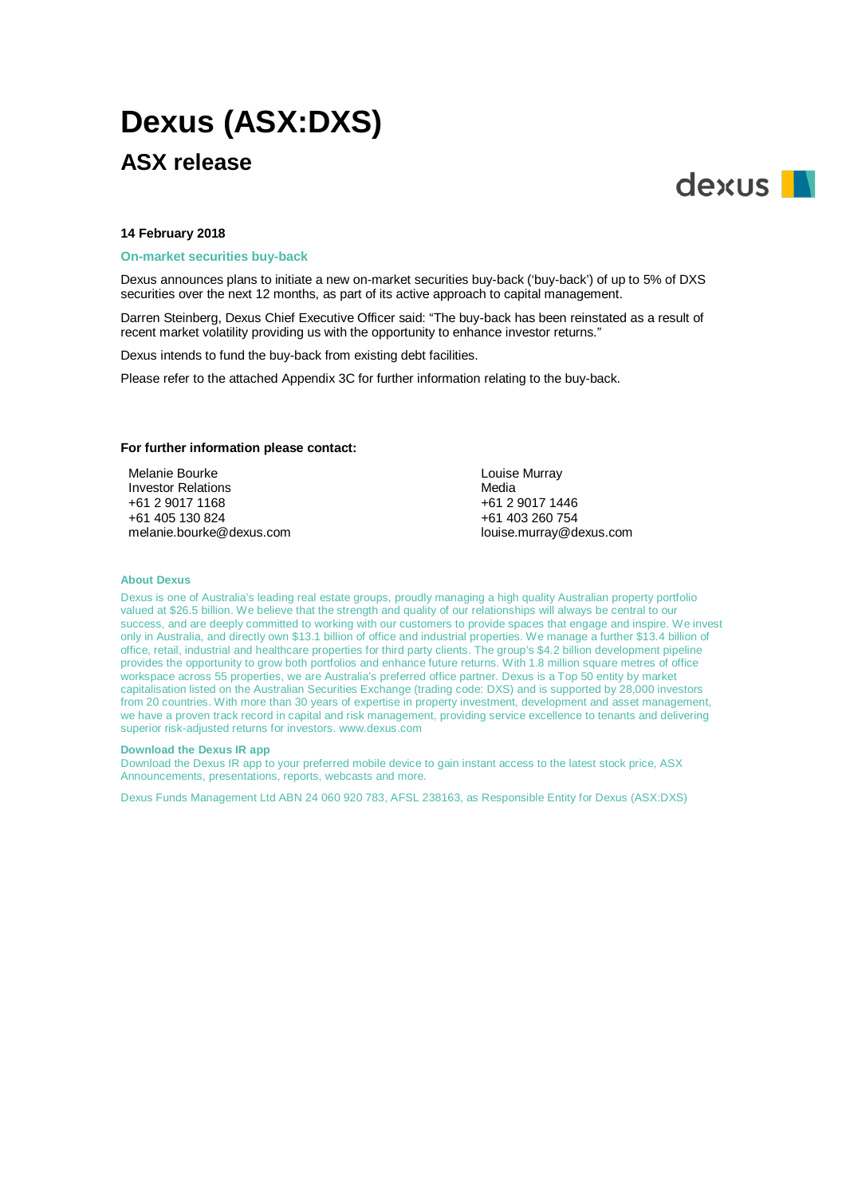# **Dexus (ASX:DXS)**

## **ASX release**



### **14 February 2018**

### **On-market securities buy-back**

Dexus announces plans to initiate a new on-market securities buy-back ('buy-back') of up to 5% of DXS securities over the next 12 months, as part of its active approach to capital management.

Darren Steinberg, Dexus Chief Executive Officer said: "The buy-back has been reinstated as a result of recent market volatility providing us with the opportunity to enhance investor returns."

Dexus intends to fund the buy-back from existing debt facilities.

Please refer to the attached Appendix 3C for further information relating to the buy-back.

### **For further information please contact:**

Melanie Bourke Investor Relations +61 2 9017 1168 +61 405 130 824 melanie.bourke@dexus.com Louise Murray Media +61 2 9017 1446 +61 403 260 754 [louise.murray@dexus.com](mailto:louise.murray@dexus.com)

### **About Dexus**

Dexus is one of Australia's leading real estate groups, proudly managing a high quality Australian property portfolio valued at \$26.5 billion. We believe that the strength and quality of our relationships will always be central to our success, and are deeply committed to working with our customers to provide spaces that engage and inspire. We invest only in Australia, and directly own \$13.1 billion of office and industrial properties. We manage a further \$13.4 billion of office, retail, industrial and healthcare properties for third party clients. The group's \$4.2 billion development pipeline provides the opportunity to grow both portfolios and enhance future returns. With 1.8 million square metres of office workspace across 55 properties, we are Australia's preferred office partner. Dexus is a Top 50 entity by market capitalisation listed on the Australian Securities Exchange (trading code: DXS) and is supported by 28,000 investors from 20 countries. With more than 30 years of expertise in property investment, development and asset management, we have a proven track record in capital and risk management, providing service excellence to tenants and delivering superior risk-adjusted returns for investors. www.dexus.com

#### **Download the Dexus IR app**

Download the Dexus IR app to your preferred mobile device to gain instant access to the latest stock price, ASX Announcements, presentations, reports, webcasts and more.

Dexus Funds Management Ltd ABN 24 060 920 783, AFSL 238163, as Responsible Entity for Dexus (ASX:DXS)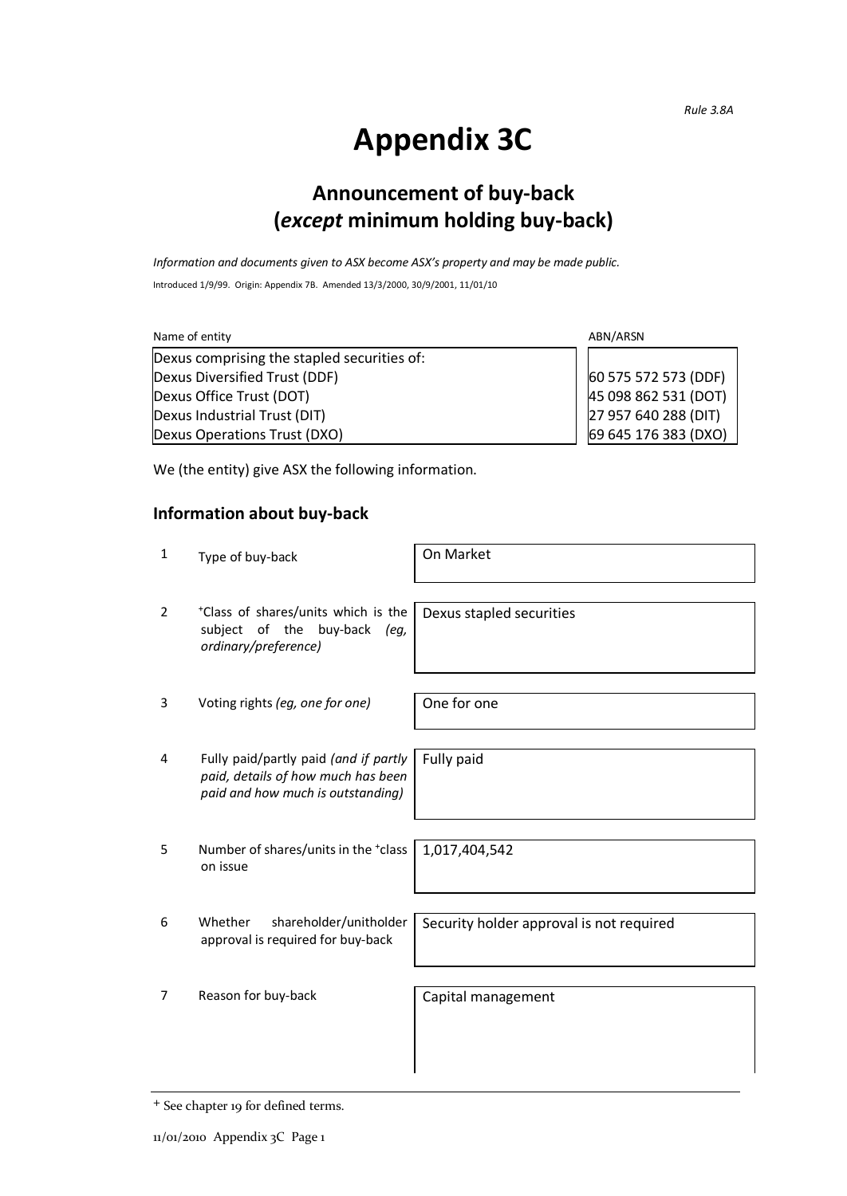*Rule 3.8A*

## **Appendix 3C**

## **Announcement of buy-back (***except* **minimum holding buy-back)**

*Information and documents given to ASX become ASX's property and may be made public.*

Introduced 1/9/99. Origin: Appendix 7B. Amended 13/3/2000, 30/9/2001, 11/01/10

| ABN/ARSN<br>Name of entity                  |                      |
|---------------------------------------------|----------------------|
| Dexus comprising the stapled securities of: |                      |
| Dexus Diversified Trust (DDF)               | 60 575 572 573 (DDF) |
| Dexus Office Trust (DOT)                    | 45 098 862 531 (DOT) |
| Dexus Industrial Trust (DIT)                | 27 957 640 288 (DIT) |
| Dexus Operations Trust (DXO)                | 69 645 176 383 (DXO) |

We (the entity) give ASX the following information.

### **Information about buy-back**

| $\mathbf{1}$   | Type of buy-back                                                                                                 | On Market                                |
|----------------|------------------------------------------------------------------------------------------------------------------|------------------------------------------|
| $\overline{2}$ | *Class of shares/units which is the<br>subject of the<br>buy-back<br>(eg,<br>ordinary/preference)                | Dexus stapled securities                 |
| 3              | Voting rights (eg, one for one)                                                                                  | One for one                              |
| 4              | Fully paid/partly paid (and if partly<br>paid, details of how much has been<br>paid and how much is outstanding) | Fully paid                               |
| 5              | Number of shares/units in the *class<br>on issue                                                                 | 1,017,404,542                            |
| 6              | Whether<br>shareholder/unitholder<br>approval is required for buy-back                                           | Security holder approval is not required |
| 7              | Reason for buy-back                                                                                              | Capital management                       |

<sup>+</sup> See chapter 19 for defined terms.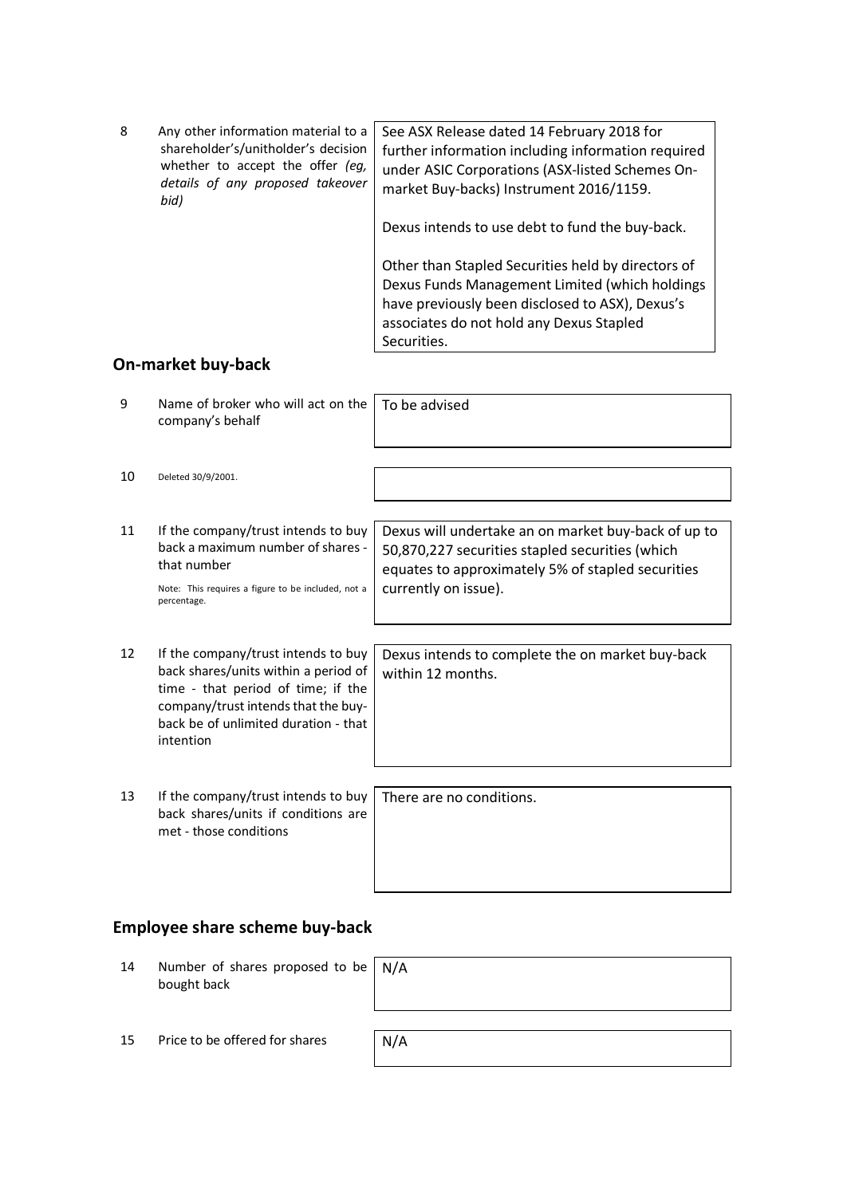| 8 | Any other information material to a<br>shareholder's/unitholder's decision<br>whether to accept the offer (eg,<br>details of any proposed takeover<br>bid) | See ASX Release dated 14 February 2018 for<br>further information including information required<br>under ASIC Corporations (ASX-listed Schemes On-<br>market Buy-backs) Instrument 2016/1159.<br>Dexus intends to use debt to fund the buy-back. |
|---|------------------------------------------------------------------------------------------------------------------------------------------------------------|---------------------------------------------------------------------------------------------------------------------------------------------------------------------------------------------------------------------------------------------------|
|   |                                                                                                                                                            | Other than Stapled Securities held by directors of<br>Dexus Funds Management Limited (which holdings<br>have previously been disclosed to ASX), Dexus's<br>associates do not hold any Dexus Stapled                                               |

Securities.

### **On-market buy-back**

| 9  | Name of broker who will act on the<br>company's behalf                                                                                                                                                        | To be advised                                                                                                                                                                       |
|----|---------------------------------------------------------------------------------------------------------------------------------------------------------------------------------------------------------------|-------------------------------------------------------------------------------------------------------------------------------------------------------------------------------------|
| 10 | Deleted 30/9/2001.                                                                                                                                                                                            |                                                                                                                                                                                     |
| 11 | If the company/trust intends to buy<br>back a maximum number of shares -<br>that number<br>Note: This requires a figure to be included, not a<br>percentage.                                                  | Dexus will undertake an on market buy-back of up to<br>50,870,227 securities stapled securities (which<br>equates to approximately 5% of stapled securities<br>currently on issue). |
| 12 | If the company/trust intends to buy<br>back shares/units within a period of<br>time - that period of time; if the<br>company/trust intends that the buy-<br>back be of unlimited duration - that<br>intention | Dexus intends to complete the on market buy-back<br>within 12 months.                                                                                                               |
| 13 | If the company/trust intends to buy<br>back shares/units if conditions are<br>met - those conditions                                                                                                          | There are no conditions.                                                                                                                                                            |

## **Employee share scheme buy-back**

| 14 | Number of shares proposed to be $\mid N/A \rangle$<br>bought back |     |
|----|-------------------------------------------------------------------|-----|
| 15 | Price to be offered for shares                                    | N/A |